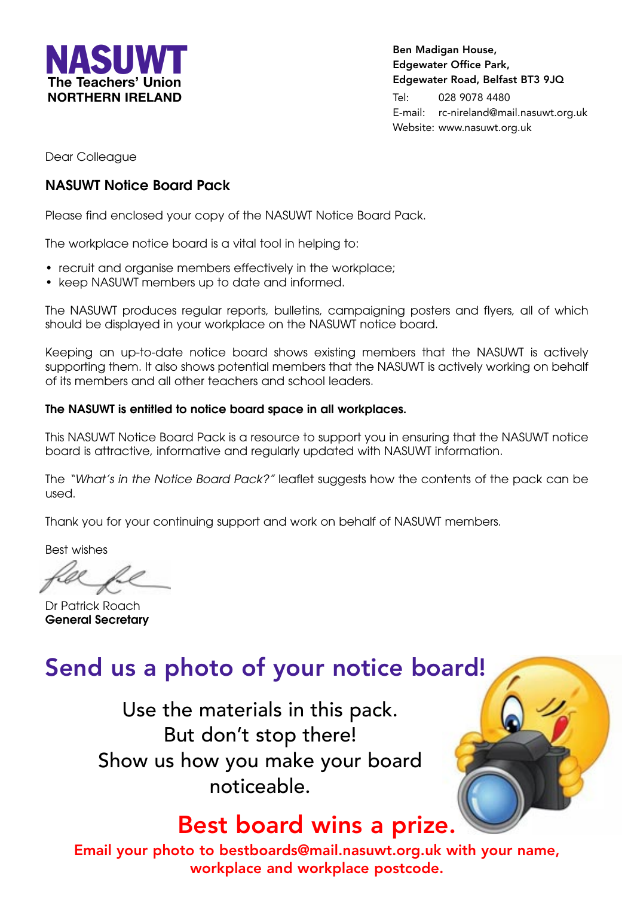

**Ben Madigan House, Edgewater Office Park, Edgewater Road, Belfast BT3 9JQ**

Tel: 028 9078 4480 E-mail: rc-nireland@mail.nasuwt.org.uk Website: www.nasuwt.org.uk

Dear Colleague

#### **NASUWT Notice Board Pack**

Please find enclosed your copy of the NASUWT Notice Board Pack.

The workplace notice board is a vital tool in helping to:

- recruit and organise members effectively in the workplace;
- keep NASUWT members up to date and informed.

The NASUWT produces regular reports, bulletins, campaigning posters and flyers, all of which should be displayed in your workplace on the NASUWT notice board.

Keeping an up-to-date notice board shows existing members that the NASUWT is actively supporting them. It also shows potential members that the NASUWT is actively working on behalf of its members and all other teachers and school leaders.

#### **The NASUWT is entitled to notice board space in all workplaces.**

This NASUWT Notice Board Pack is a resource to support you in ensuring that the NASUWT notice board is attractive, informative and regularly updated with NASUWT information.

The "What's in the Notice Board Pack?" leaflet suggests how the contents of the pack can be used.

Thank you for your continuing support and work on behalf of NASUWT members.

Best wishes

Dr Patrick Roach **General Secretary**

#### **Send us a photo of your notice board!**

Use the materials in this pack. But don't stop there! Show us how you make your board noticeable.

#### **Best board wins a prize.**

**Email your photo to bestboards@mail.nasuwt.org.uk with your name, workplace and workplace postcode.**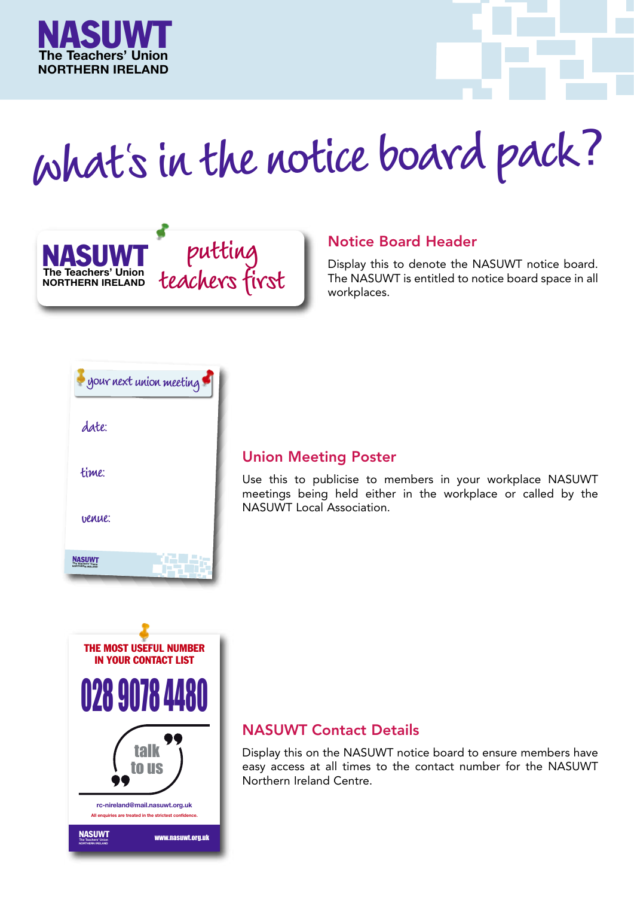

# **whats in the notice board pack**? **<sup>l</sup>**



#### **Notice Board Header**

Display this to denote the NASUWT notice board. The NASUWT is entitled to notice board space in all workplaces.



#### **Union Meeting Poster**

Use this to publicise to members in your workplace NASUWT meetings being held either in the workplace or called by the NASUWT Local Association.



#### **NASUWT Contact Details**

Display this on the NASUWT notice board to ensure members have easy access at all times to the contact number for the NASUWT Northern Ireland Centre.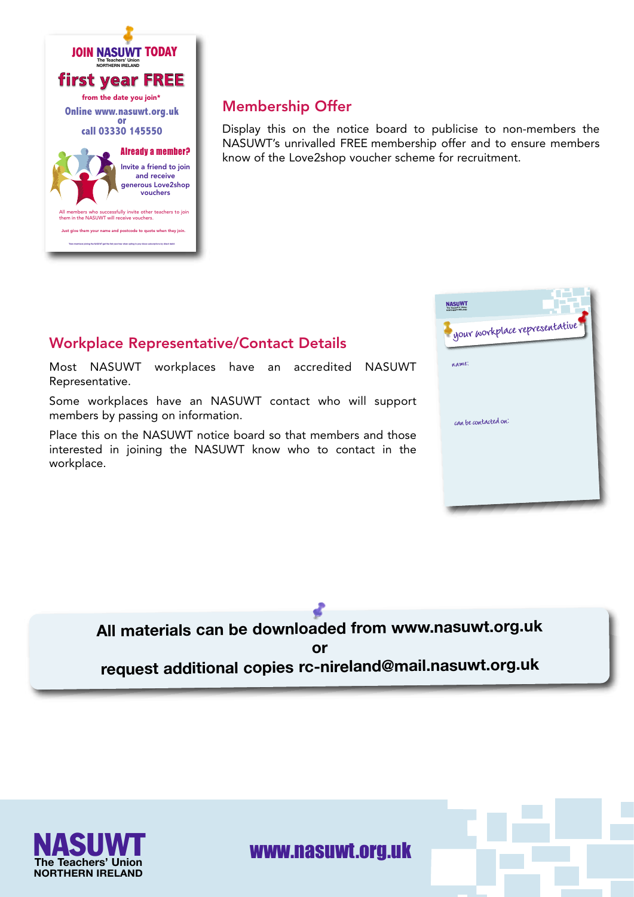

#### **Membership Offer**

Display this on the notice board to publicise to non-members the NASUWT's unrivalled FREE membership offer and to ensure members know of the Love2shop voucher scheme for recruitment.

#### **Workplace Representative/Contact Details**

Most NASUWT workplaces have an accredited NASUWT Representative.

Some workplaces have an NASUWT contact who will support members by passing on information.

Place this on the NASUWT notice board so that members and those interested in joining the NASUWT know who to contact in the workplace.



**All materials can be downloaded from www.nasuwt.org.uk or request additional copies rc-nireland@mail.nasuwt.org.uk**



#### NASUWT www.nasuwt.org.uk **The Teachers' Union**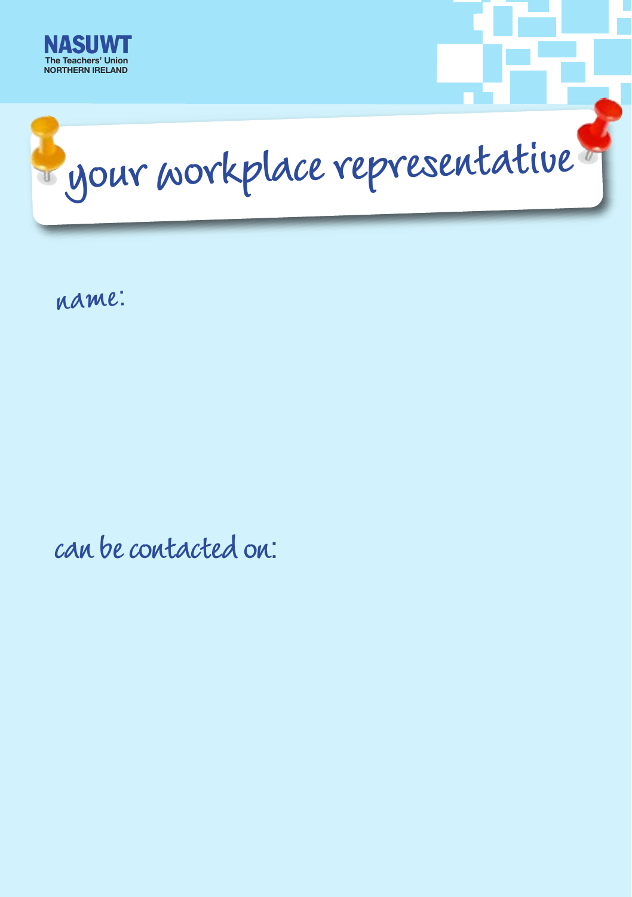



**name**:

**can be contacted on**: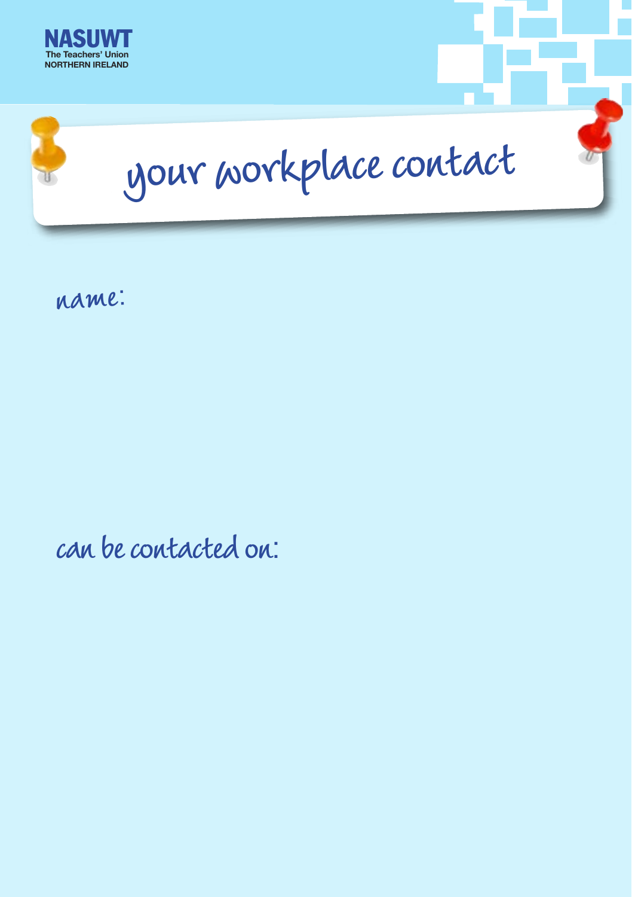



**name**:

**can be contacted on**: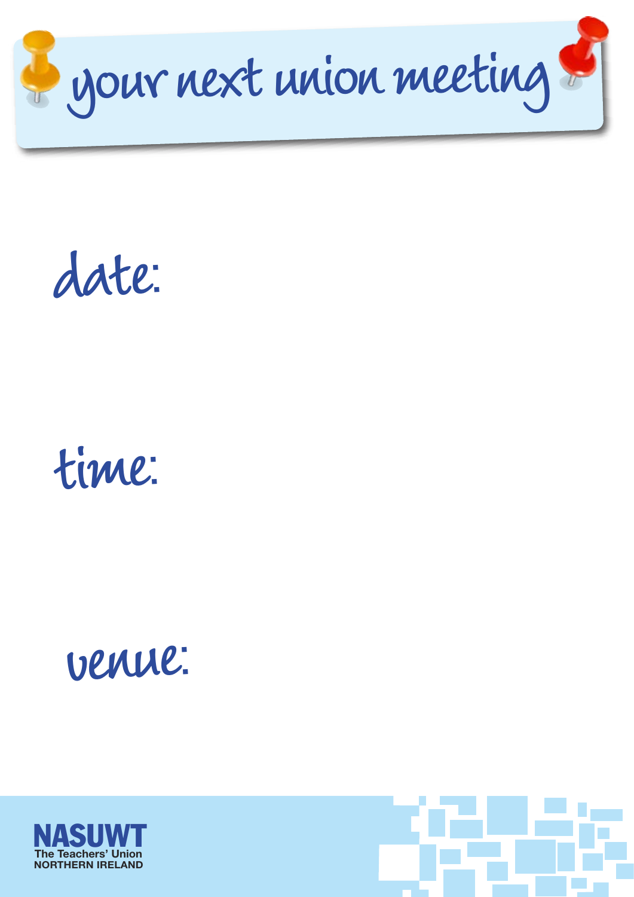

**date**:



## **venue**:



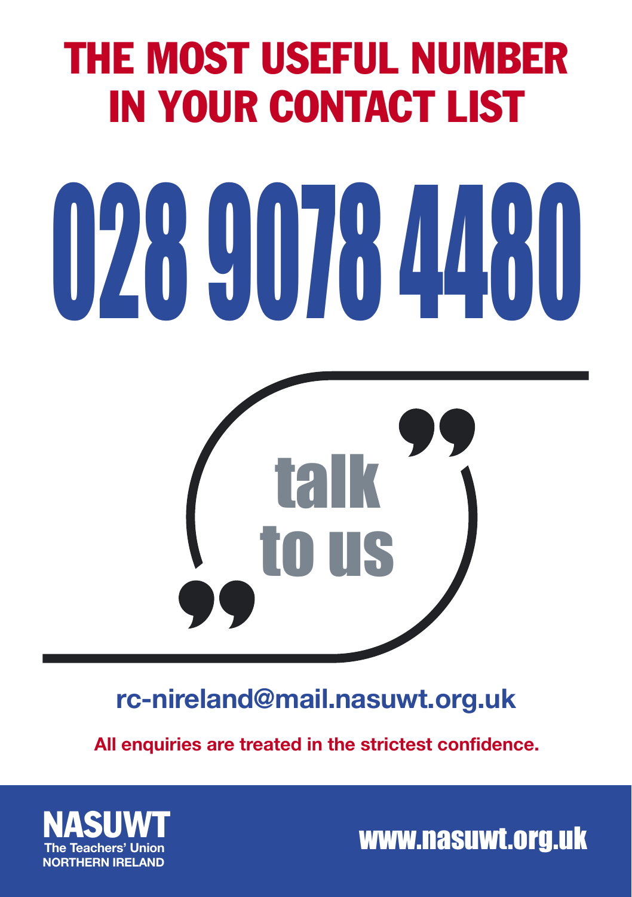### THE MOST USEFUL NUMBER IN YOUR CONTACT LIST

# 028 9078 4480



#### **rc-nireland@mail.nasuwt.org.uk**

**All enquiries are treated in the strictest confidence.**



www.nasuwt.org.uk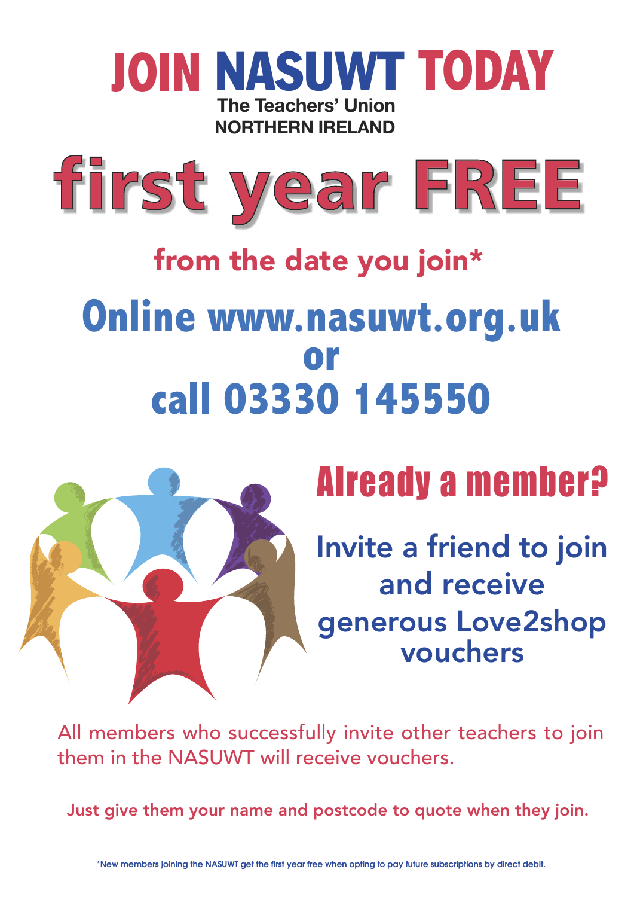#### **JOIN** NASUWT **TODAY The Teachers' Union NORTHERN IRELAND**



## **from the date you join\* Online www.nasuwt.org.uk**  call 03330 145550



## Already a member?

**Invite a friend to join and receive generous Love2shop vouchers**

All members who successfully invite other teachers to join them in the NASUWT will receive vouchers.

**Just give them your name and postcode to quote when they join.**